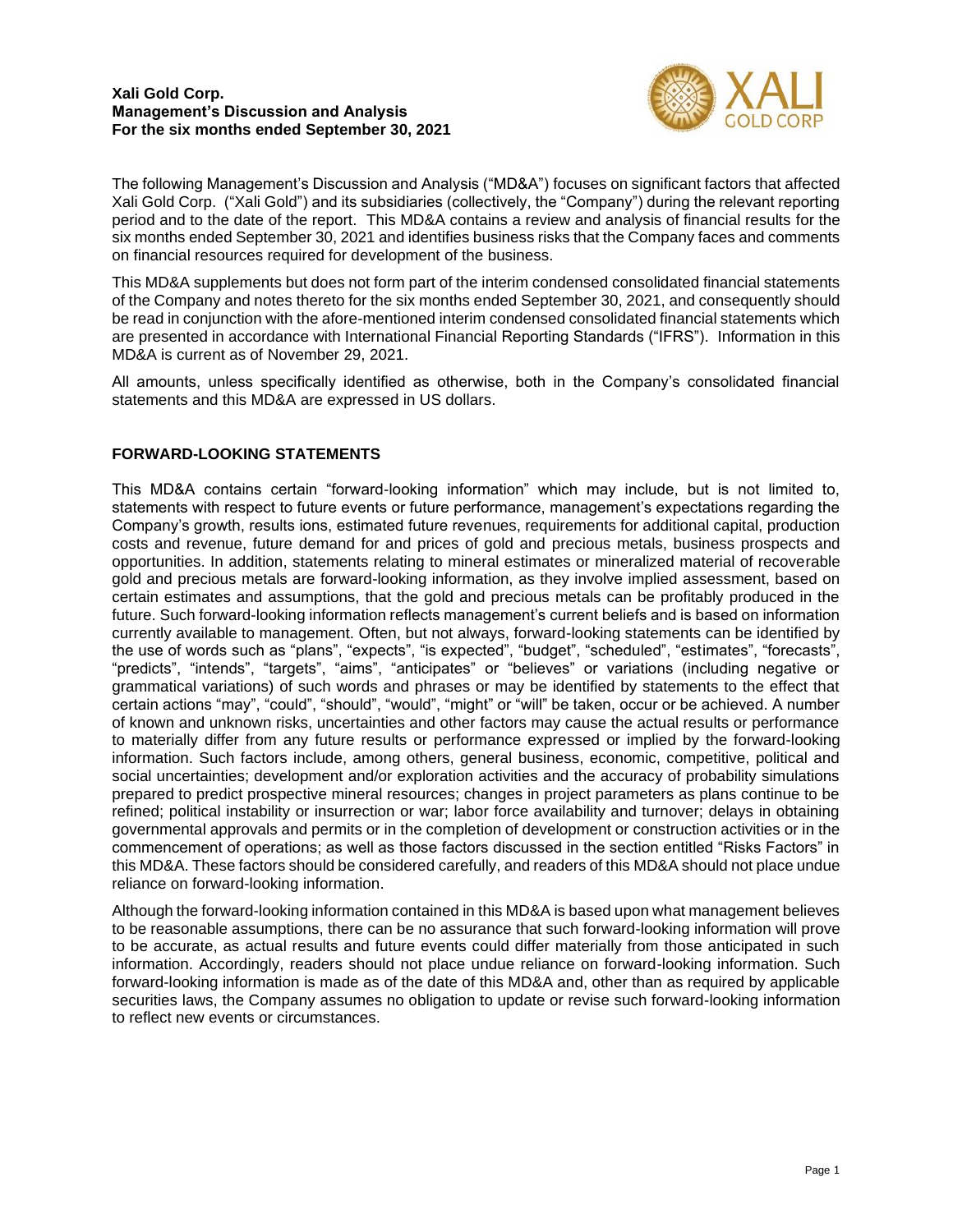

The following Management's Discussion and Analysis ("MD&A") focuses on significant factors that affected Xali Gold Corp. ("Xali Gold") and its subsidiaries (collectively, the "Company") during the relevant reporting period and to the date of the report. This MD&A contains a review and analysis of financial results for the six months ended September 30, 2021 and identifies business risks that the Company faces and comments on financial resources required for development of the business.

This MD&A supplements but does not form part of the interim condensed consolidated financial statements of the Company and notes thereto for the six months ended September 30, 2021, and consequently should be read in conjunction with the afore-mentioned interim condensed consolidated financial statements which are presented in accordance with International Financial Reporting Standards ("IFRS"). Information in this MD&A is current as of November 29, 2021.

All amounts, unless specifically identified as otherwise, both in the Company's consolidated financial statements and this MD&A are expressed in US dollars.

# **FORWARD-LOOKING STATEMENTS**

This MD&A contains certain "forward-looking information" which may include, but is not limited to, statements with respect to future events or future performance, management's expectations regarding the Company's growth, results ions, estimated future revenues, requirements for additional capital, production costs and revenue, future demand for and prices of gold and precious metals, business prospects and opportunities. In addition, statements relating to mineral estimates or mineralized material of recoverable gold and precious metals are forward-looking information, as they involve implied assessment, based on certain estimates and assumptions, that the gold and precious metals can be profitably produced in the future. Such forward-looking information reflects management's current beliefs and is based on information currently available to management. Often, but not always, forward-looking statements can be identified by the use of words such as "plans", "expects", "is expected", "budget", "scheduled", "estimates", "forecasts", "predicts", "intends", "targets", "aims", "anticipates" or "believes" or variations (including negative or grammatical variations) of such words and phrases or may be identified by statements to the effect that certain actions "may", "could", "should", "would", "might" or "will" be taken, occur or be achieved. A number of known and unknown risks, uncertainties and other factors may cause the actual results or performance to materially differ from any future results or performance expressed or implied by the forward-looking information. Such factors include, among others, general business, economic, competitive, political and social uncertainties; development and/or exploration activities and the accuracy of probability simulations prepared to predict prospective mineral resources; changes in project parameters as plans continue to be refined; political instability or insurrection or war; labor force availability and turnover; delays in obtaining governmental approvals and permits or in the completion of development or construction activities or in the commencement of operations; as well as those factors discussed in the section entitled "Risks Factors" in this MD&A. These factors should be considered carefully, and readers of this MD&A should not place undue reliance on forward-looking information.

Although the forward-looking information contained in this MD&A is based upon what management believes to be reasonable assumptions, there can be no assurance that such forward-looking information will prove to be accurate, as actual results and future events could differ materially from those anticipated in such information. Accordingly, readers should not place undue reliance on forward-looking information. Such forward-looking information is made as of the date of this MD&A and, other than as required by applicable securities laws, the Company assumes no obligation to update or revise such forward-looking information to reflect new events or circumstances.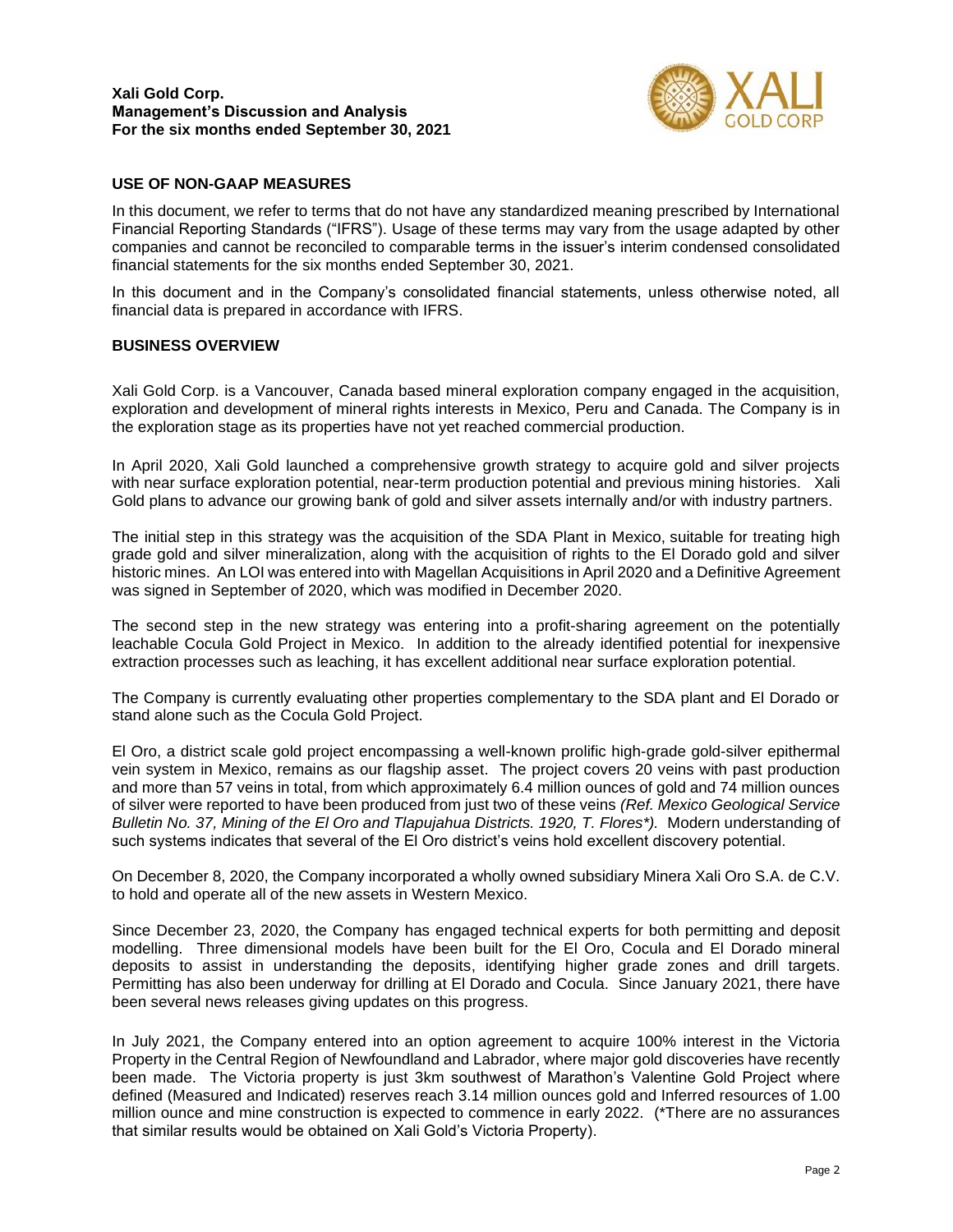

## **USE OF NON-GAAP MEASURES**

In this document, we refer to terms that do not have any standardized meaning prescribed by International Financial Reporting Standards ("IFRS"). Usage of these terms may vary from the usage adapted by other companies and cannot be reconciled to comparable terms in the issuer's interim condensed consolidated financial statements for the six months ended September 30, 2021.

In this document and in the Company's consolidated financial statements, unless otherwise noted, all financial data is prepared in accordance with IFRS.

## **BUSINESS OVERVIEW**

Xali Gold Corp. is a Vancouver, Canada based mineral exploration company engaged in the acquisition, exploration and development of mineral rights interests in Mexico, Peru and Canada. The Company is in the exploration stage as its properties have not yet reached commercial production.

In April 2020, Xali Gold launched a comprehensive growth strategy to acquire gold and silver projects with near surface exploration potential, near-term production potential and previous mining histories. Xali Gold plans to advance our growing bank of gold and silver assets internally and/or with industry partners.

The initial step in this strategy was the acquisition of the SDA Plant in Mexico, suitable for treating high grade gold and silver mineralization, along with the acquisition of rights to the El Dorado gold and silver historic mines. An LOI was entered into with Magellan Acquisitions in April 2020 and a Definitive Agreement was signed in September of 2020, which was modified in December 2020.

The second step in the new strategy was entering into a profit-sharing agreement on the potentially leachable Cocula Gold Project in Mexico. In addition to the already identified potential for inexpensive extraction processes such as leaching, it has excellent additional near surface exploration potential.

The Company is currently evaluating other properties complementary to the SDA plant and El Dorado or stand alone such as the Cocula Gold Project.

El Oro, a district scale gold project encompassing a well-known prolific high-grade gold-silver epithermal vein system in Mexico, remains as our flagship asset. The project covers 20 veins with past production and more than 57 veins in total, from which approximately 6.4 million ounces of gold and 74 million ounces of silver were reported to have been produced from just two of these veins *(Ref. Mexico Geological Service Bulletin No. 37, Mining of the El Oro and Tlapujahua Districts. 1920, T. Flores\*).* Modern understanding of such systems indicates that several of the El Oro district's veins hold excellent discovery potential.

On December 8, 2020, the Company incorporated a wholly owned subsidiary Minera Xali Oro S.A. de C.V. to hold and operate all of the new assets in Western Mexico.

Since December 23, 2020, the Company has engaged technical experts for both permitting and deposit modelling. Three dimensional models have been built for the El Oro, Cocula and El Dorado mineral deposits to assist in understanding the deposits, identifying higher grade zones and drill targets. Permitting has also been underway for drilling at El Dorado and Cocula. Since January 2021, there have been several news releases giving updates on this progress.

In July 2021, the Company entered into an option agreement to acquire 100% interest in the Victoria Property in the Central Region of Newfoundland and Labrador, where major gold discoveries have recently been made. The Victoria property is just 3km southwest of Marathon's Valentine Gold Project where defined (Measured and Indicated) reserves reach 3.14 million ounces gold and Inferred resources of 1.00 million ounce and mine construction is expected to commence in early 2022. (\*There are no assurances that similar results would be obtained on Xali Gold's Victoria Property).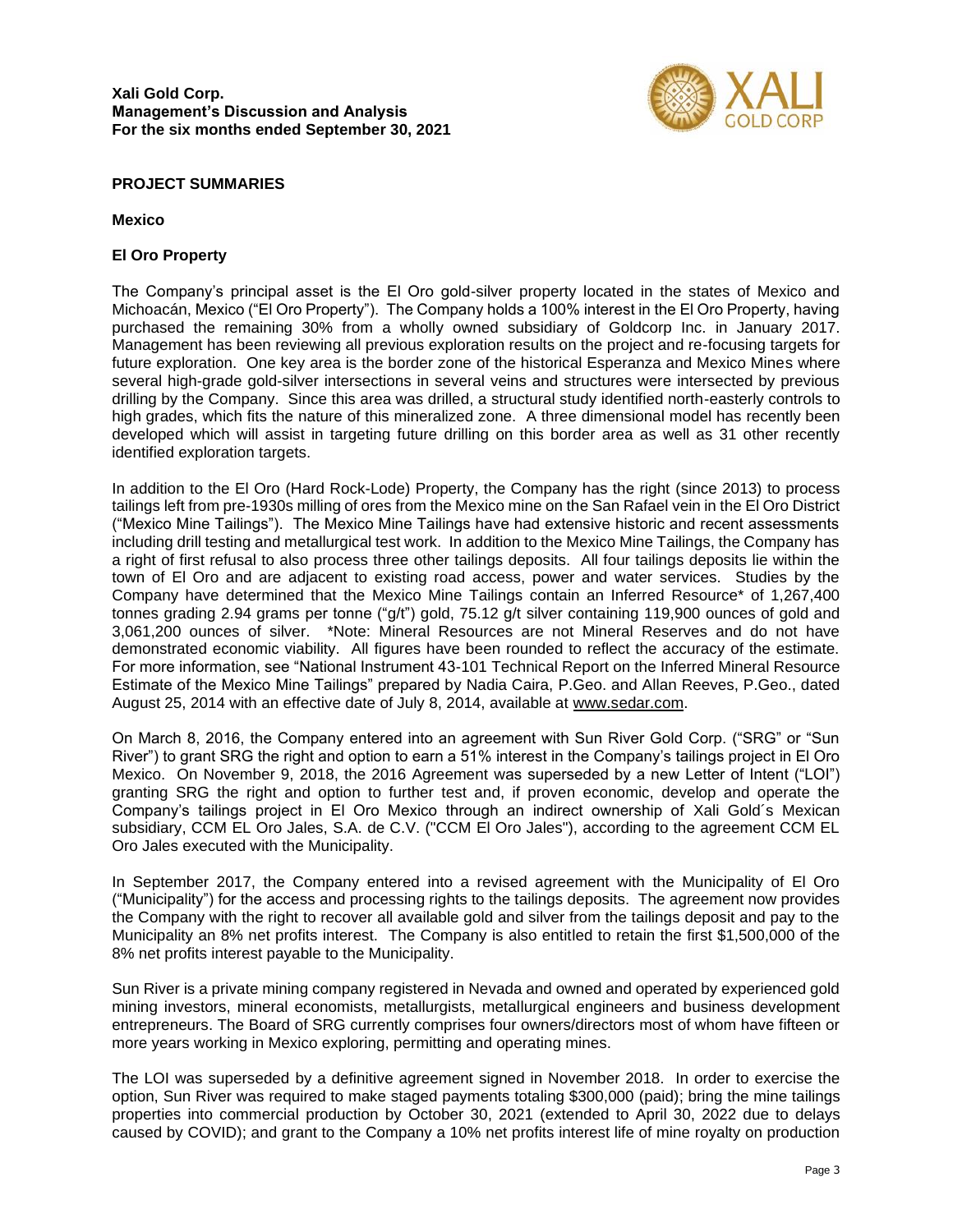

## **PROJECT SUMMARIES**

## **Mexico**

## **El Oro Property**

The Company's principal asset is the El Oro gold-silver property located in the states of Mexico and Michoacán, Mexico ("El Oro Property"). The Company holds a 100% interest in the El Oro Property, having purchased the remaining 30% from a wholly owned subsidiary of Goldcorp Inc. in January 2017. Management has been reviewing all previous exploration results on the project and re-focusing targets for future exploration. One key area is the border zone of the historical Esperanza and Mexico Mines where several high-grade gold-silver intersections in several veins and structures were intersected by previous drilling by the Company. Since this area was drilled, a structural study identified north-easterly controls to high grades, which fits the nature of this mineralized zone. A three dimensional model has recently been developed which will assist in targeting future drilling on this border area as well as 31 other recently identified exploration targets.

In addition to the El Oro (Hard Rock-Lode) Property, the Company has the right (since 2013) to process tailings left from pre-1930s milling of ores from the Mexico mine on the San Rafael vein in the El Oro District ("Mexico Mine Tailings"). The Mexico Mine Tailings have had extensive historic and recent assessments including drill testing and metallurgical test work. In addition to the Mexico Mine Tailings, the Company has a right of first refusal to also process three other tailings deposits. All four tailings deposits lie within the town of El Oro and are adjacent to existing road access, power and water services. Studies by the Company have determined that the Mexico Mine Tailings contain an Inferred Resource\* of 1,267,400 tonnes grading 2.94 grams per tonne ("g/t") gold, 75.12 g/t silver containing 119,900 ounces of gold and 3,061,200 ounces of silver. \*Note: Mineral Resources are not Mineral Reserves and do not have demonstrated economic viability. All figures have been rounded to reflect the accuracy of the estimate. For more information, see "National Instrument 43-101 Technical Report on the Inferred Mineral Resource Estimate of the Mexico Mine Tailings" prepared by Nadia Caira, P.Geo. and Allan Reeves, P.Geo., dated August 25, 2014 with an effective date of July 8, 2014, available at www.sedar.com.

On March 8, 2016, the Company entered into an agreement with Sun River Gold Corp. ("SRG" or "Sun River") to grant SRG the right and option to earn a 51% interest in the Company's tailings project in El Oro Mexico. On November 9, 2018, the 2016 Agreement was superseded by a new Letter of Intent ("LOI") granting SRG the right and option to further test and, if proven economic, develop and operate the Company's tailings project in El Oro Mexico through an indirect ownership of Xali Gold´s Mexican subsidiary, CCM EL Oro Jales, S.A. de C.V. ("CCM El Oro Jales"), according to the agreement CCM EL Oro Jales executed with the Municipality.

In September 2017, the Company entered into a revised agreement with the Municipality of El Oro ("Municipality") for the access and processing rights to the tailings deposits. The agreement now provides the Company with the right to recover all available gold and silver from the tailings deposit and pay to the Municipality an 8% net profits interest. The Company is also entitled to retain the first \$1,500,000 of the 8% net profits interest payable to the Municipality.

Sun River is a private mining company registered in Nevada and owned and operated by experienced gold mining investors, mineral economists, metallurgists, metallurgical engineers and business development entrepreneurs. The Board of SRG currently comprises four owners/directors most of whom have fifteen or more years working in Mexico exploring, permitting and operating mines.

The LOI was superseded by a definitive agreement signed in November 2018. In order to exercise the option, Sun River was required to make staged payments totaling \$300,000 (paid); bring the mine tailings properties into commercial production by October 30, 2021 (extended to April 30, 2022 due to delays caused by COVID); and grant to the Company a 10% net profits interest life of mine royalty on production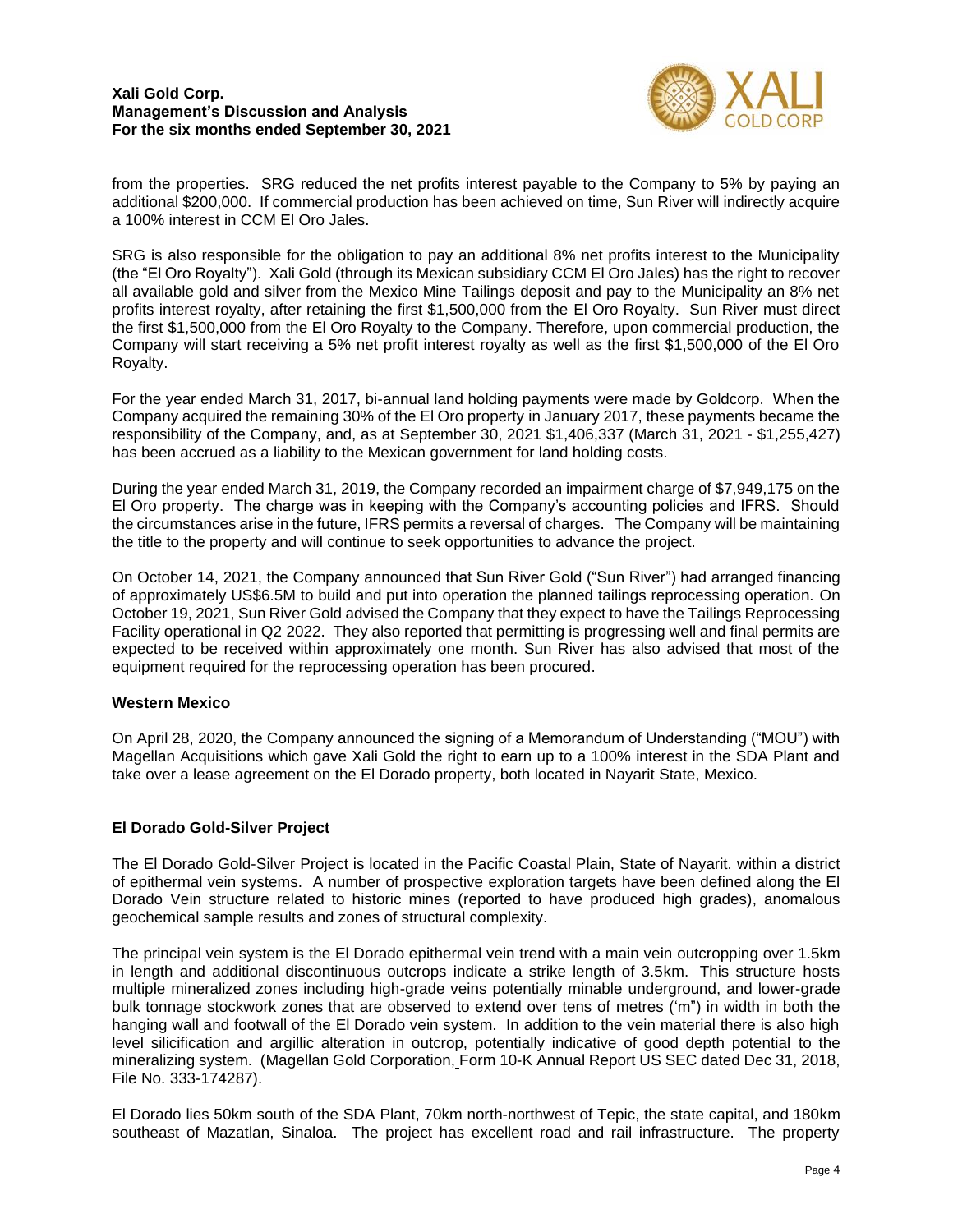

from the properties. SRG reduced the net profits interest payable to the Company to 5% by paying an additional \$200,000. If commercial production has been achieved on time, Sun River will indirectly acquire a 100% interest in CCM El Oro Jales.

SRG is also responsible for the obligation to pay an additional 8% net profits interest to the Municipality (the "El Oro Royalty"). Xali Gold (through its Mexican subsidiary CCM El Oro Jales) has the right to recover all available gold and silver from the Mexico Mine Tailings deposit and pay to the Municipality an 8% net profits interest royalty, after retaining the first \$1,500,000 from the El Oro Royalty. Sun River must direct the first \$1,500,000 from the El Oro Royalty to the Company. Therefore, upon commercial production, the Company will start receiving a 5% net profit interest royalty as well as the first \$1,500,000 of the El Oro Royalty.

For the year ended March 31, 2017, bi-annual land holding payments were made by Goldcorp. When the Company acquired the remaining 30% of the El Oro property in January 2017, these payments became the responsibility of the Company, and, as at September 30, 2021 \$1,406,337 (March 31, 2021 - \$1,255,427) has been accrued as a liability to the Mexican government for land holding costs.

During the year ended March 31, 2019, the Company recorded an impairment charge of \$7,949,175 on the El Oro property. The charge was in keeping with the Company's accounting policies and IFRS. Should the circumstances arise in the future, IFRS permits a reversal of charges. The Company will be maintaining the title to the property and will continue to seek opportunities to advance the project.

On October 14, 2021, the Company announced that Sun River Gold ("Sun River") had arranged financing of approximately US\$6.5M to build and put into operation the planned tailings reprocessing operation. On October 19, 2021, Sun River Gold advised the Company that they expect to have the Tailings Reprocessing Facility operational in Q2 2022. They also reported that permitting is progressing well and final permits are expected to be received within approximately one month. Sun River has also advised that most of the equipment required for the reprocessing operation has been procured.

## **Western Mexico**

On April 28, 2020, the Company announced the signing of a Memorandum of Understanding ("MOU") with Magellan Acquisitions which gave Xali Gold the right to earn up to a 100% interest in the SDA Plant and take over a lease agreement on the El Dorado property, both located in Nayarit State, Mexico.

## **El Dorado Gold-Silver Project**

The El Dorado Gold-Silver Project is located in the Pacific Coastal Plain, State of Nayarit. within a district of epithermal vein systems. A number of prospective exploration targets have been defined along the El Dorado Vein structure related to historic mines (reported to have produced high grades), anomalous geochemical sample results and zones of structural complexity.

The principal vein system is the El Dorado epithermal vein trend with a main vein outcropping over 1.5km in length and additional discontinuous outcrops indicate a strike length of 3.5km. This structure hosts multiple mineralized zones including high-grade veins potentially minable underground, and lower-grade bulk tonnage stockwork zones that are observed to extend over tens of metres ('m") in width in both the hanging wall and footwall of the El Dorado vein system. In addition to the vein material there is also high level silicification and argillic alteration in outcrop, potentially indicative of good depth potential to the mineralizing system. (Magellan Gold Corporation, Form 10-K Annual Report US SEC dated Dec 31, 2018, File No. 333-174287).

El Dorado lies 50km south of the SDA Plant, 70km north-northwest of Tepic, the state capital, and 180km southeast of Mazatlan, Sinaloa. The project has excellent road and rail infrastructure. The property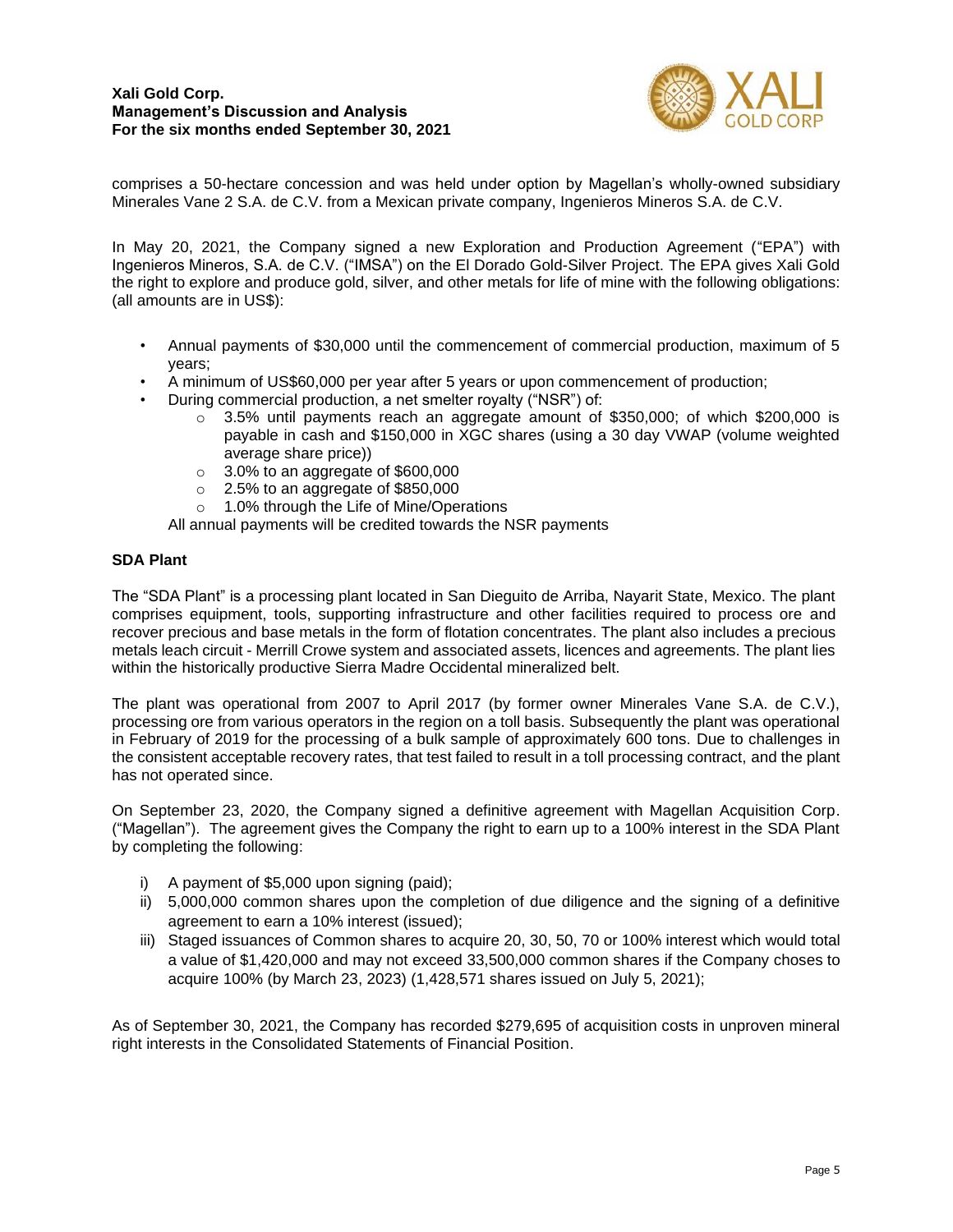

comprises a 50-hectare concession and was held under option by Magellan's wholly-owned subsidiary Minerales Vane 2 S.A. de C.V. from a Mexican private company, Ingenieros Mineros S.A. de C.V.

In May 20, 2021, the Company signed a new Exploration and Production Agreement ("EPA") with Ingenieros Mineros, S.A. de C.V. ("IMSA") on the El Dorado Gold-Silver Project. The EPA gives Xali Gold the right to explore and produce gold, silver, and other metals for life of mine with the following obligations: (all amounts are in US\$):

- Annual payments of \$30,000 until the commencement of commercial production, maximum of 5 years;
- A minimum of US\$60,000 per year after 5 years or upon commencement of production;
- During commercial production, a net smelter royalty ("NSR") of:
	- $\circ$  3.5% until payments reach an aggregate amount of \$350,000; of which \$200,000 is payable in cash and \$150,000 in XGC shares (using a 30 day VWAP (volume weighted average share price))
	- o 3.0% to an aggregate of \$600,000
	- $\circ$  2.5% to an aggregate of \$850,000
	- o 1.0% through the Life of Mine/Operations
	- All annual payments will be credited towards the NSR payments

## **SDA Plant**

The "SDA Plant" is a processing plant located in San Dieguito de Arriba, Nayarit State, Mexico. The plant comprises equipment, tools, supporting infrastructure and other facilities required to process ore and recover precious and base metals in the form of flotation concentrates. The plant also includes a precious metals leach circuit - Merrill Crowe system and associated assets, licences and agreements. The plant lies within the historically productive Sierra Madre Occidental mineralized belt.

The plant was operational from 2007 to April 2017 (by former owner Minerales Vane S.A. de C.V.), processing ore from various operators in the region on a toll basis. Subsequently the plant was operational in February of 2019 for the processing of a bulk sample of approximately 600 tons. Due to challenges in the consistent acceptable recovery rates, that test failed to result in a toll processing contract, and the plant has not operated since.

On September 23, 2020, the Company signed a definitive agreement with Magellan Acquisition Corp. ("Magellan"). The agreement gives the Company the right to earn up to a 100% interest in the SDA Plant by completing the following:

- i) A payment of \$5,000 upon signing (paid);
- ii) 5,000,000 common shares upon the completion of due diligence and the signing of a definitive agreement to earn a 10% interest (issued);
- iii) Staged issuances of Common shares to acquire 20, 30, 50, 70 or 100% interest which would total a value of \$1,420,000 and may not exceed 33,500,000 common shares if the Company choses to acquire 100% (by March 23, 2023) (1,428,571 shares issued on July 5, 2021);

As of September 30, 2021, the Company has recorded \$279,695 of acquisition costs in unproven mineral right interests in the Consolidated Statements of Financial Position.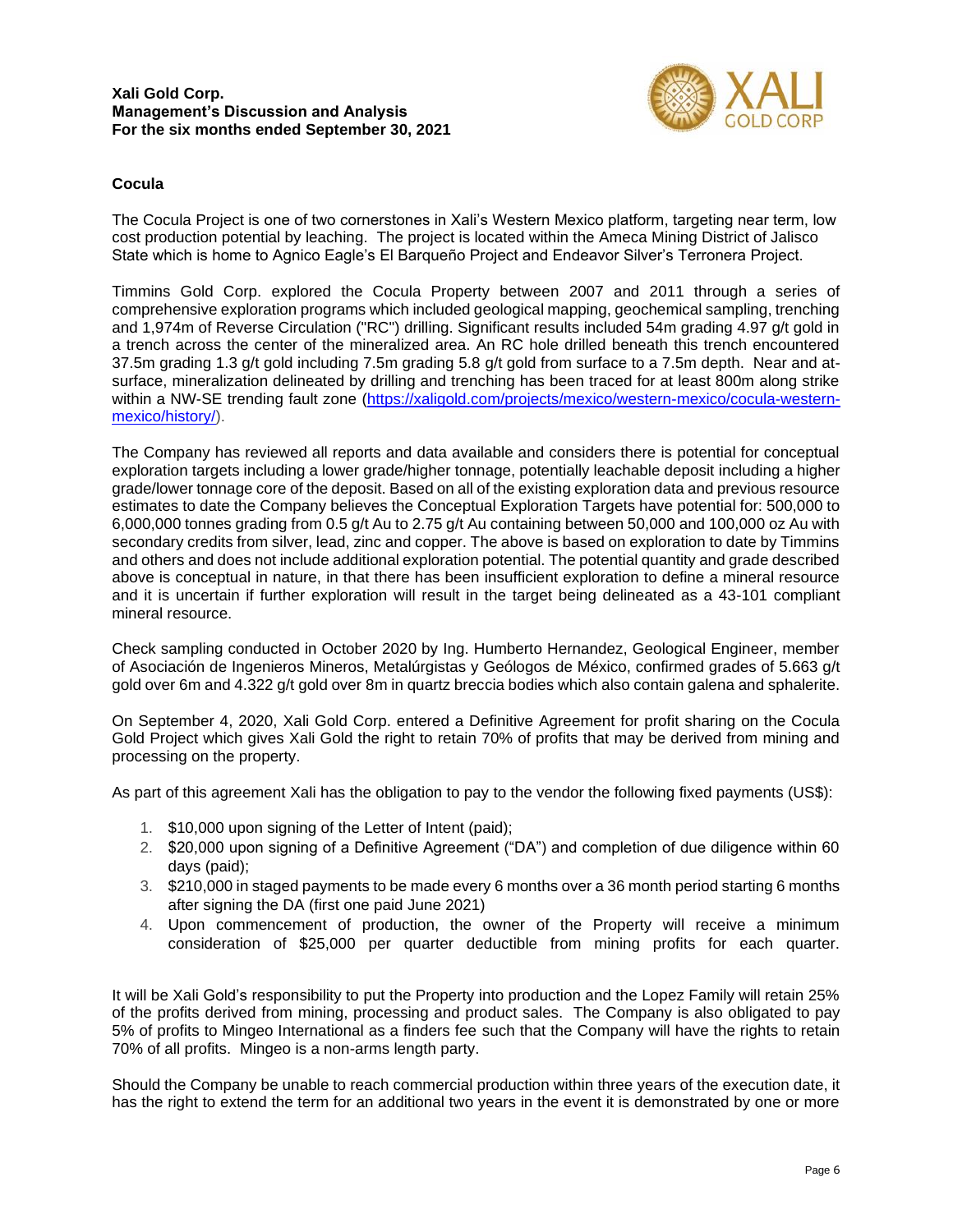

## **Cocula**

The Cocula Project is one of two cornerstones in Xali's Western Mexico platform, targeting near term, low cost production potential by leaching. The project is located within the Ameca Mining District of Jalisco State which is home to Agnico Eagle's El Barqueño Project and Endeavor Silver's Terronera Project.

Timmins Gold Corp. explored the Cocula Property between 2007 and 2011 through a series of comprehensive exploration programs which included geological mapping, geochemical sampling, trenching and 1,974m of Reverse Circulation ("RC") drilling. Significant results included 54m grading 4.97 g/t gold in a trench across the center of the mineralized area. An RC hole drilled beneath this trench encountered 37.5m grading 1.3 g/t gold including 7.5m grading 5.8 g/t gold from surface to a 7.5m depth. Near and atsurface, mineralization delineated by drilling and trenching has been traced for at least 800m along strike within a NW-SE trending fault zone (https://xaligold.com/projects/mexico/western-mexico/cocula-westernmexico/history/).

The Company has reviewed all reports and data available and considers there is potential for conceptual exploration targets including a lower grade/higher tonnage, potentially leachable deposit including a higher grade/lower tonnage core of the deposit. Based on all of the existing exploration data and previous resource estimates to date the Company believes the Conceptual Exploration Targets have potential for: 500,000 to 6,000,000 tonnes grading from 0.5 g/t Au to 2.75 g/t Au containing between 50,000 and 100,000 oz Au with secondary credits from silver, lead, zinc and copper. The above is based on exploration to date by Timmins and others and does not include additional exploration potential. The potential quantity and grade described above is conceptual in nature, in that there has been insufficient exploration to define a mineral resource and it is uncertain if further exploration will result in the target being delineated as a 43-101 compliant mineral resource.

Check sampling conducted in October 2020 by Ing. Humberto Hernandez, Geological Engineer, member of Asociación de Ingenieros Mineros, Metalúrgistas y Geólogos de México, confirmed grades of 5.663 g/t gold over 6m and 4.322 g/t gold over 8m in quartz breccia bodies which also contain galena and sphalerite.

On September 4, 2020, Xali Gold Corp. entered a Definitive Agreement for profit sharing on the Cocula Gold Project which gives Xali Gold the right to retain 70% of profits that may be derived from mining and processing on the property.

As part of this agreement Xali has the obligation to pay to the vendor the following fixed payments (US\$):

- 1. \$10,000 upon signing of the Letter of Intent (paid);
- 2. \$20,000 upon signing of a Definitive Agreement ("DA") and completion of due diligence within 60 days (paid);
- 3. \$210,000 in staged payments to be made every 6 months over a 36 month period starting 6 months after signing the DA (first one paid June 2021)
- 4. Upon commencement of production, the owner of the Property will receive a minimum consideration of \$25,000 per quarter deductible from mining profits for each quarter.

It will be Xali Gold's responsibility to put the Property into production and the Lopez Family will retain 25% of the profits derived from mining, processing and product sales. The Company is also obligated to pay 5% of profits to Mingeo International as a finders fee such that the Company will have the rights to retain 70% of all profits. Mingeo is a non-arms length party.

Should the Company be unable to reach commercial production within three years of the execution date, it has the right to extend the term for an additional two years in the event it is demonstrated by one or more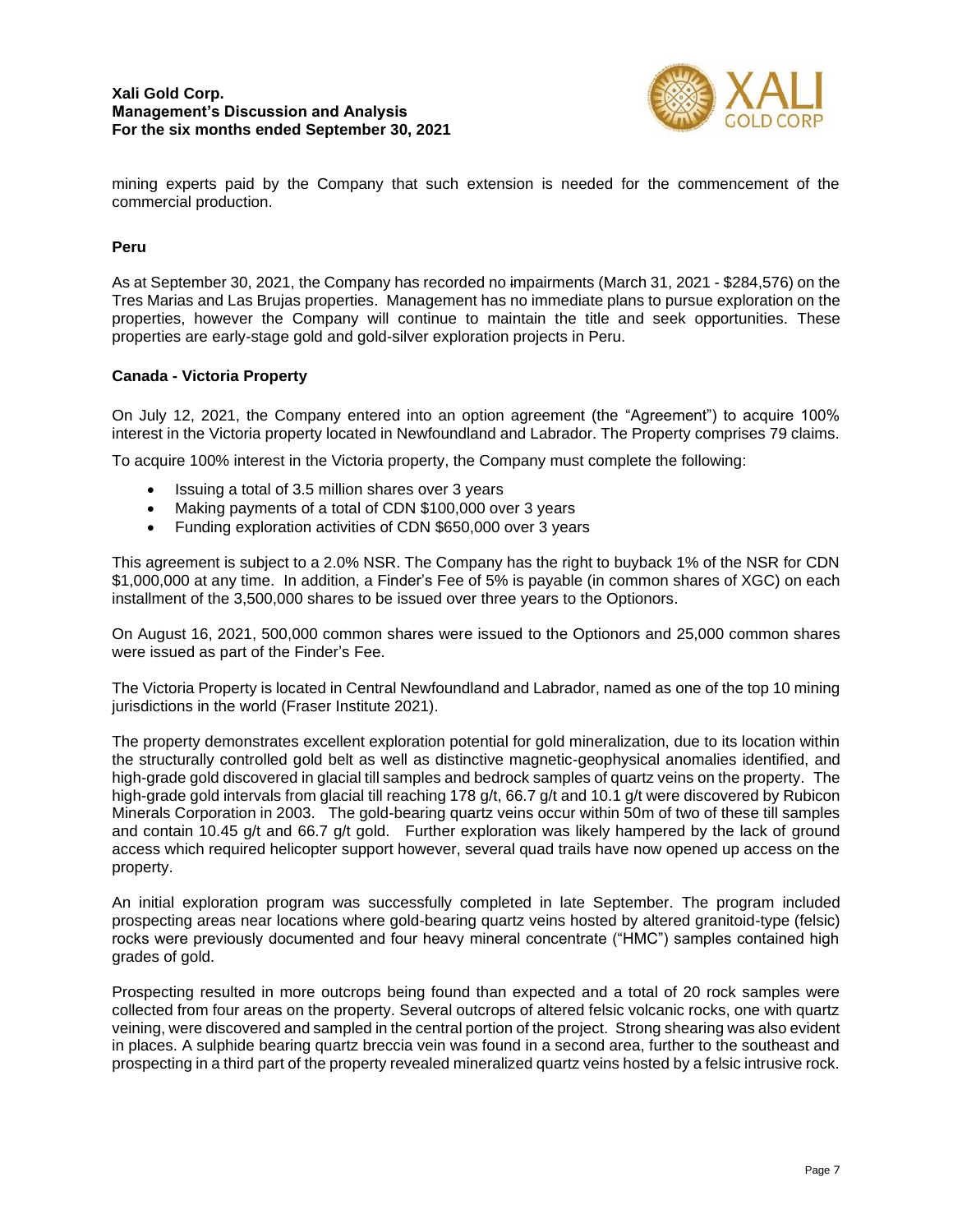

mining experts paid by the Company that such extension is needed for the commencement of the commercial production.

## **Peru**

As at September 30, 2021, the Company has recorded no impairments (March 31, 2021 - \$284,576) on the Tres Marias and Las Brujas properties. Management has no immediate plans to pursue exploration on the properties, however the Company will continue to maintain the title and seek opportunities. These properties are early-stage gold and gold-silver exploration projects in Peru.

#### **Canada - Victoria Property**

On July 12, 2021, the Company entered into an option agreement (the "Agreement") to acquire 100% interest in the Victoria property located in Newfoundland and Labrador. The Property comprises 79 claims.

To acquire 100% interest in the Victoria property, the Company must complete the following:

- Issuing a total of 3.5 million shares over 3 years
- Making payments of a total of CDN \$100,000 over 3 years
- Funding exploration activities of CDN \$650,000 over 3 years

This agreement is subject to a 2.0% NSR. The Company has the right to buyback 1% of the NSR for CDN \$1,000,000 at any time. In addition, a Finder's Fee of 5% is payable (in common shares of XGC) on each installment of the 3,500,000 shares to be issued over three years to the Optionors.

On August 16, 2021, 500,000 common shares were issued to the Optionors and 25,000 common shares were issued as part of the Finder's Fee.

The Victoria Property is located in Central Newfoundland and Labrador, named as one of the top 10 mining jurisdictions in the world (Fraser Institute 2021).

The property demonstrates excellent exploration potential for gold mineralization, due to its location within the structurally controlled gold belt as well as distinctive magnetic-geophysical anomalies identified, and high-grade gold discovered in glacial till samples and bedrock samples of quartz veins on the property. The high-grade gold intervals from glacial till reaching 178 g/t, 66.7 g/t and 10.1 g/t were discovered by Rubicon Minerals Corporation in 2003. The gold-bearing quartz veins occur within 50m of two of these till samples and contain 10.45 g/t and 66.7 g/t gold. Further exploration was likely hampered by the lack of ground access which required helicopter support however, several quad trails have now opened up access on the property.

An initial exploration program was successfully completed in late September. The program included prospecting areas near locations where gold-bearing quartz veins hosted by altered granitoid-type (felsic) rocks were previously documented and four heavy mineral concentrate ("HMC") samples contained high grades of gold.

Prospecting resulted in more outcrops being found than expected and a total of 20 rock samples were collected from four areas on the property. Several outcrops of altered felsic volcanic rocks, one with quartz veining, were discovered and sampled in the central portion of the project. Strong shearing was also evident in places. A sulphide bearing quartz breccia vein was found in a second area, further to the southeast and prospecting in a third part of the property revealed mineralized quartz veins hosted by a felsic intrusive rock.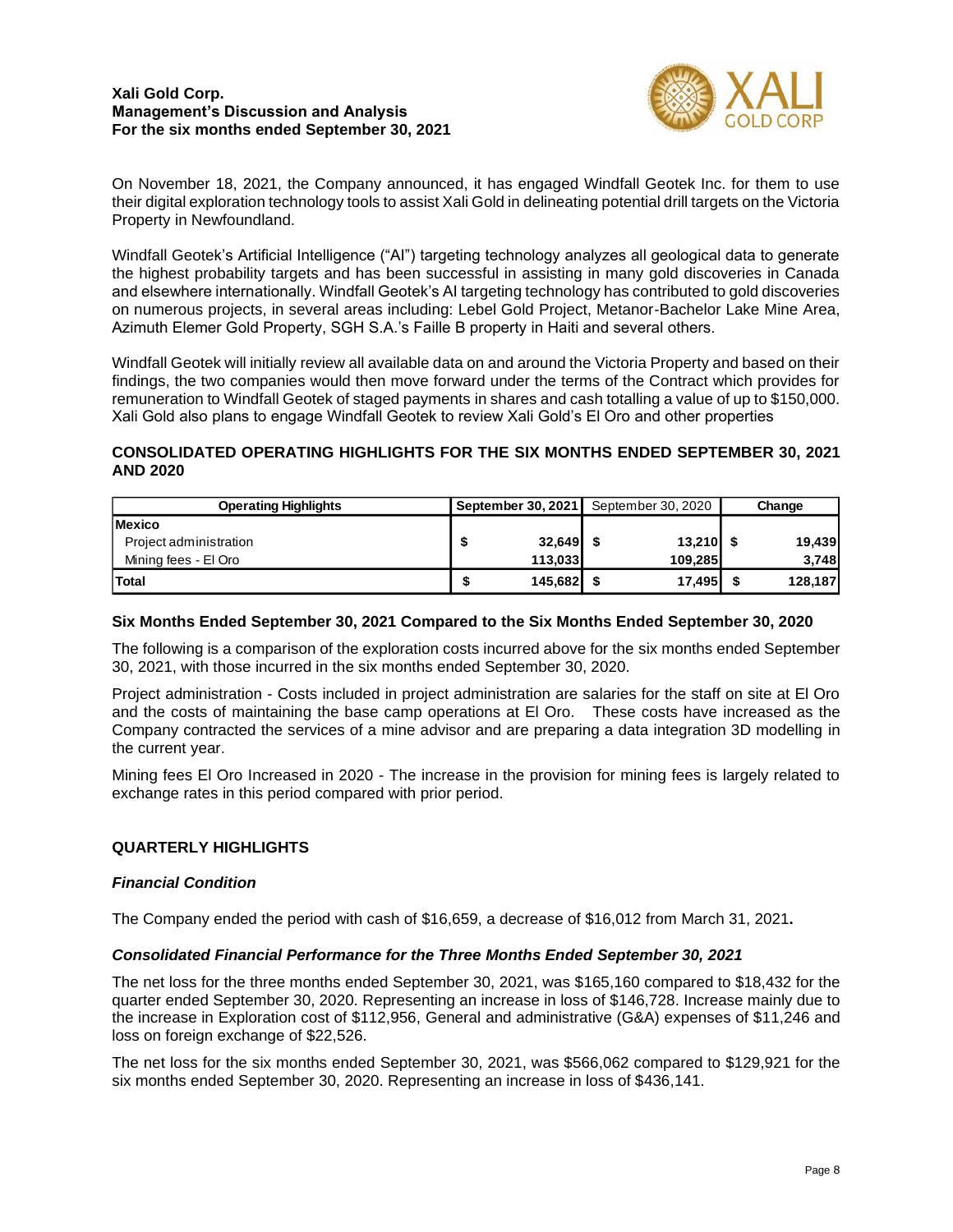

On November 18, 2021, the Company announced, it has engaged Windfall Geotek Inc. for them to use their digital exploration technology tools to assist Xali Gold in delineating potential drill targets on the Victoria Property in Newfoundland.

Windfall Geotek's Artificial Intelligence ("AI") targeting technology analyzes all geological data to generate the highest probability targets and has been successful in assisting in many gold discoveries in Canada and elsewhere internationally. Windfall Geotek's AI targeting technology has contributed to gold discoveries on numerous projects, in several areas including: Lebel Gold Project, Metanor-Bachelor Lake Mine Area, Azimuth Elemer Gold Property, SGH S.A.'s Faille B property in Haiti and several others.

Windfall Geotek will initially review all available data on and around the Victoria Property and based on their findings, the two companies would then move forward under the terms of the Contract which provides for remuneration to Windfall Geotek of staged payments in shares and cash totalling a value of up to \$150,000. Xali Gold also plans to engage Windfall Geotek to review Xali Gold's El Oro and other properties

## **CONSOLIDATED OPERATING HIGHLIGHTS FOR THE SIX MONTHS ENDED SEPTEMBER 30, 2021 AND 2020**

| <b>Operating Highlights</b> | September 30, 2021 |  | September 30, 2020 |  | Change  |  |
|-----------------------------|--------------------|--|--------------------|--|---------|--|
| <b>Mexico</b>               |                    |  |                    |  |         |  |
| Project administration      | $32,649$ \$        |  | $13,210$ \$        |  | 19,439  |  |
| Mining fees - El Oro        | 113,033            |  | 109.285            |  | 3,748   |  |
| Total                       | $145,682$ \$       |  | 17,495             |  | 128,187 |  |

## **Six Months Ended September 30, 2021 Compared to the Six Months Ended September 30, 2020**

The following is a comparison of the exploration costs incurred above for the six months ended September 30, 2021, with those incurred in the six months ended September 30, 2020.

Project administration - Costs included in project administration are salaries for the staff on site at El Oro and the costs of maintaining the base camp operations at El Oro. These costs have increased as the Company contracted the services of a mine advisor and are preparing a data integration 3D modelling in the current year.

Mining fees El Oro Increased in 2020 - The increase in the provision for mining fees is largely related to exchange rates in this period compared with prior period.

## **QUARTERLY HIGHLIGHTS**

## *Financial Condition*

The Company ended the period with cash of \$16,659, a decrease of \$16,012 from March 31, 2021**.**

## *Consolidated Financial Performance for the Three Months Ended September 30, 2021*

The net loss for the three months ended September 30, 2021, was \$165,160 compared to \$18,432 for the quarter ended September 30, 2020. Representing an increase in loss of \$146,728. Increase mainly due to the increase in Exploration cost of \$112,956, General and administrative (G&A) expenses of \$11,246 and loss on foreign exchange of \$22,526.

The net loss for the six months ended September 30, 2021, was \$566,062 compared to \$129,921 for the six months ended September 30, 2020. Representing an increase in loss of \$436,141.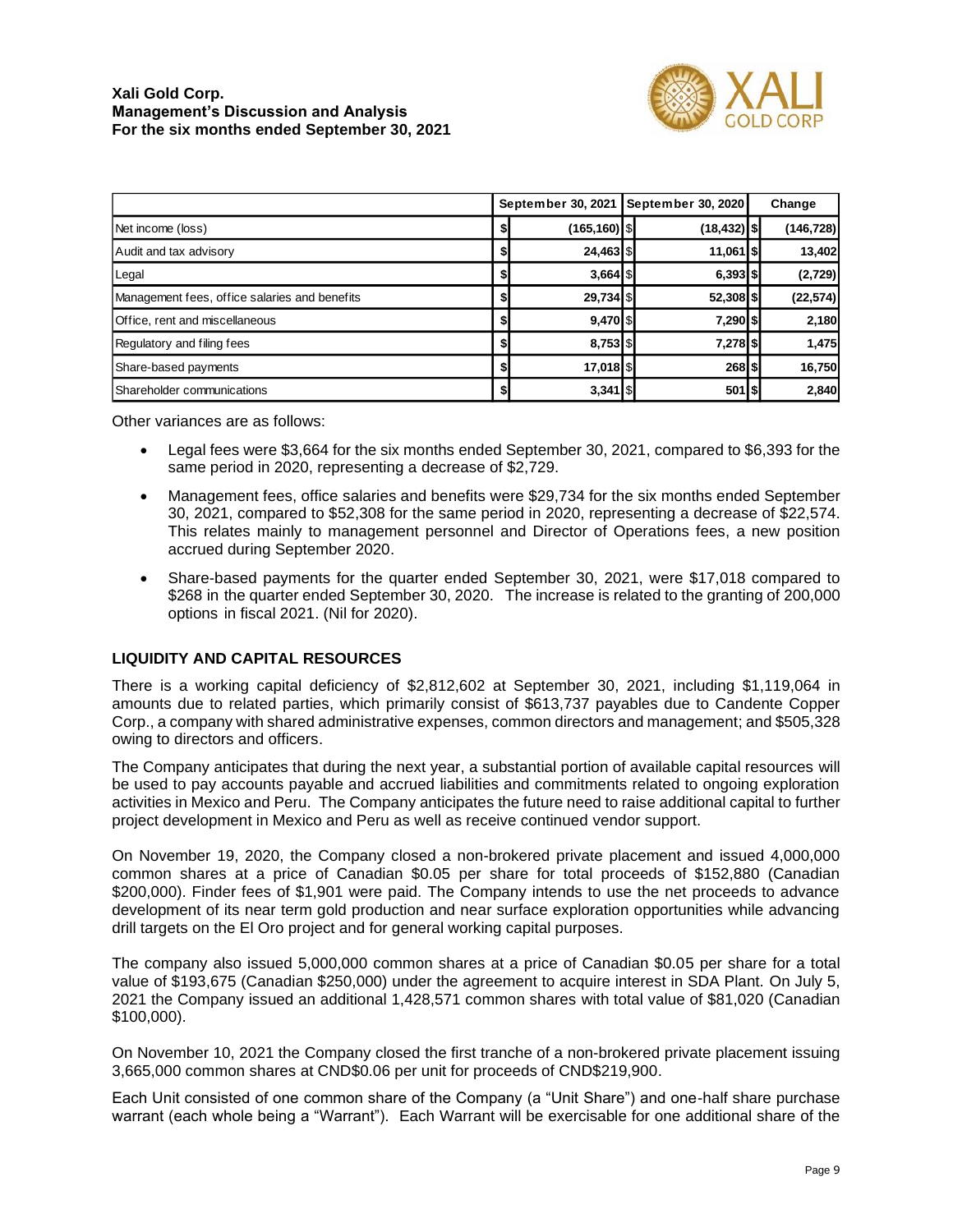

|                                               | September 30, 2021 |                 | September 30, 2020 | Change         |            |
|-----------------------------------------------|--------------------|-----------------|--------------------|----------------|------------|
| Net income (loss)                             | \$                 | $(165, 160)$ \$ |                    | $(18, 432)$ \$ | (146, 728) |
| Audit and tax advisory                        | \$                 | 24,463 \$       |                    | 11,061   \$    | 13,402     |
| Legal                                         | \$                 | $3,664$ S       |                    | $6,393$ $$$    | (2,729)    |
| Management fees, office salaries and benefits | \$                 | 29,734 \$       |                    | 52,308 \$      | (22, 574)  |
| Office, rent and miscellaneous                | \$                 | $9,470$ $$$     |                    | 7,290 \$       | 2,180      |
| Regulatory and filing fees                    | \$                 | $8,753$ \$      |                    | 7,278 \$       | 1,475      |
| Share-based payments                          | \$                 | 17,018 \$       |                    | 268 \$         | 16,750     |
| Shareholder communications                    | \$                 | $3,341$   \$    |                    | 501 \$         | 2,840      |

Other variances are as follows:

- Legal fees were \$3,664 for the six months ended September 30, 2021, compared to \$6,393 for the same period in 2020, representing a decrease of \$2,729.
- Management fees, office salaries and benefits were \$29,734 for the six months ended September 30, 2021, compared to \$52,308 for the same period in 2020, representing a decrease of \$22,574. This relates mainly to management personnel and Director of Operations fees, a new position accrued during September 2020.
- Share-based payments for the quarter ended September 30, 2021, were \$17,018 compared to \$268 in the quarter ended September 30, 2020. The increase is related to the granting of 200,000 options in fiscal 2021. (Nil for 2020).

## **LIQUIDITY AND CAPITAL RESOURCES**

There is a working capital deficiency of \$2,812,602 at September 30, 2021, including \$1,119,064 in amounts due to related parties, which primarily consist of \$613,737 payables due to Candente Copper Corp., a company with shared administrative expenses, common directors and management; and \$505,328 owing to directors and officers.

The Company anticipates that during the next year, a substantial portion of available capital resources will be used to pay accounts payable and accrued liabilities and commitments related to ongoing exploration activities in Mexico and Peru. The Company anticipates the future need to raise additional capital to further project development in Mexico and Peru as well as receive continued vendor support.

On November 19, 2020, the Company closed a non-brokered private placement and issued 4,000,000 common shares at a price of Canadian \$0.05 per share for total proceeds of \$152,880 (Canadian \$200,000). Finder fees of \$1,901 were paid. The Company intends to use the net proceeds to advance development of its near term gold production and near surface exploration opportunities while advancing drill targets on the El Oro project and for general working capital purposes.

The company also issued 5,000,000 common shares at a price of Canadian \$0.05 per share for a total value of \$193,675 (Canadian \$250,000) under the agreement to acquire interest in SDA Plant. On July 5, 2021 the Company issued an additional 1,428,571 common shares with total value of \$81,020 (Canadian \$100,000).

On November 10, 2021 the Company closed the first tranche of a non-brokered private placement issuing 3,665,000 common shares at CND\$0.06 per unit for proceeds of CND\$219,900.

Each Unit consisted of one common share of the Company (a "Unit Share") and one-half share purchase warrant (each whole being a "Warrant"). Each Warrant will be exercisable for one additional share of the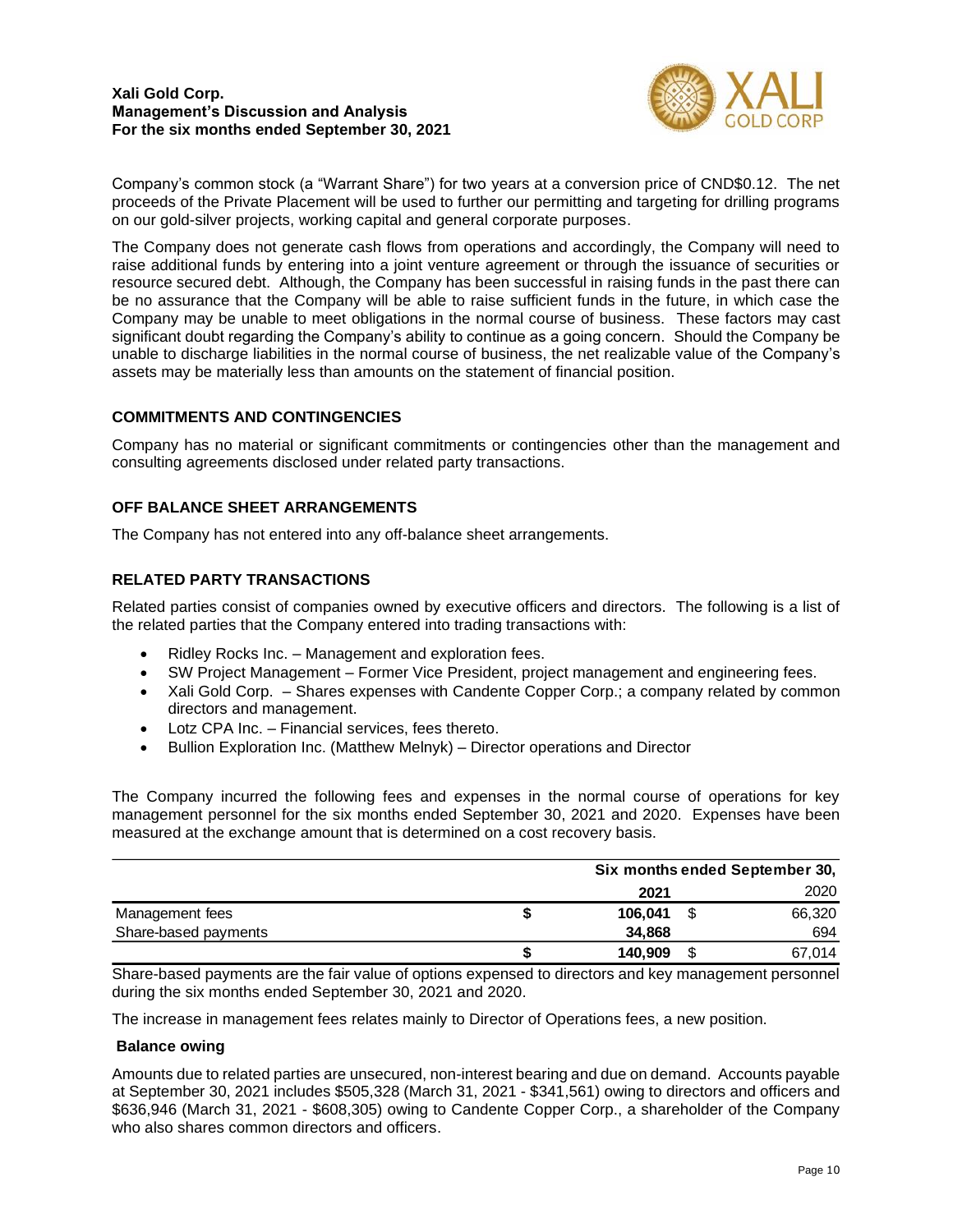

Company's common stock (a "Warrant Share") for two years at a conversion price of CND\$0.12. The net proceeds of the Private Placement will be used to further our permitting and targeting for drilling programs on our gold-silver projects, working capital and general corporate purposes.

The Company does not generate cash flows from operations and accordingly, the Company will need to raise additional funds by entering into a joint venture agreement or through the issuance of securities or resource secured debt. Although, the Company has been successful in raising funds in the past there can be no assurance that the Company will be able to raise sufficient funds in the future, in which case the Company may be unable to meet obligations in the normal course of business. These factors may cast significant doubt regarding the Company's ability to continue as a going concern. Should the Company be unable to discharge liabilities in the normal course of business, the net realizable value of the Company's assets may be materially less than amounts on the statement of financial position.

## **COMMITMENTS AND CONTINGENCIES**

Company has no material or significant commitments or contingencies other than the management and consulting agreements disclosed under related party transactions.

## **OFF BALANCE SHEET ARRANGEMENTS**

The Company has not entered into any off-balance sheet arrangements.

## **RELATED PARTY TRANSACTIONS**

Related parties consist of companies owned by executive officers and directors. The following is a list of the related parties that the Company entered into trading transactions with:

- Ridley Rocks Inc. Management and exploration fees.
- SW Project Management Former Vice President, project management and engineering fees.
- Xali Gold Corp. Shares expenses with Candente Copper Corp.; a company related by common directors and management.
- Lotz CPA Inc. Financial services, fees thereto.
- Bullion Exploration Inc. (Matthew Melnyk) Director operations and Director

The Company incurred the following fees and expenses in the normal course of operations for key management personnel for the six months ended September 30, 2021 and 2020. Expenses have been measured at the exchange amount that is determined on a cost recovery basis.

|                                                                                                                                                                                                                                                                                                                                                                              |               | Six months ended September 30, |        |  |  |
|------------------------------------------------------------------------------------------------------------------------------------------------------------------------------------------------------------------------------------------------------------------------------------------------------------------------------------------------------------------------------|---------------|--------------------------------|--------|--|--|
|                                                                                                                                                                                                                                                                                                                                                                              | 2021          |                                | 2020   |  |  |
| Management fees                                                                                                                                                                                                                                                                                                                                                              | \$<br>106.041 | S                              | 66,320 |  |  |
| Share-based payments                                                                                                                                                                                                                                                                                                                                                         | 34,868        |                                | 694    |  |  |
|                                                                                                                                                                                                                                                                                                                                                                              | \$<br>140,909 | S                              | 67,014 |  |  |
| Share-based payments are the fair value of options expensed to directors and key management personnel<br>during the six months ended September 30, 2021 and 2020.                                                                                                                                                                                                            |               |                                |        |  |  |
| The increase in management fees relates mainly to Director of Operations fees, a new position.                                                                                                                                                                                                                                                                               |               |                                |        |  |  |
| <b>Balance owing</b>                                                                                                                                                                                                                                                                                                                                                         |               |                                |        |  |  |
| Amounts due to related parties are unsecured, non-interest bearing and due on demand. Accounts payable<br>at September 30, 2021 includes \$505,328 (March 31, 2021 - \$341,561) owing to directors and officers and<br>\$636,946 (March 31, 2021 - \$608,305) owing to Candente Copper Corp., a shareholder of the Company<br>who also shares common directors and officers. |               |                                |        |  |  |

## **Balance owing**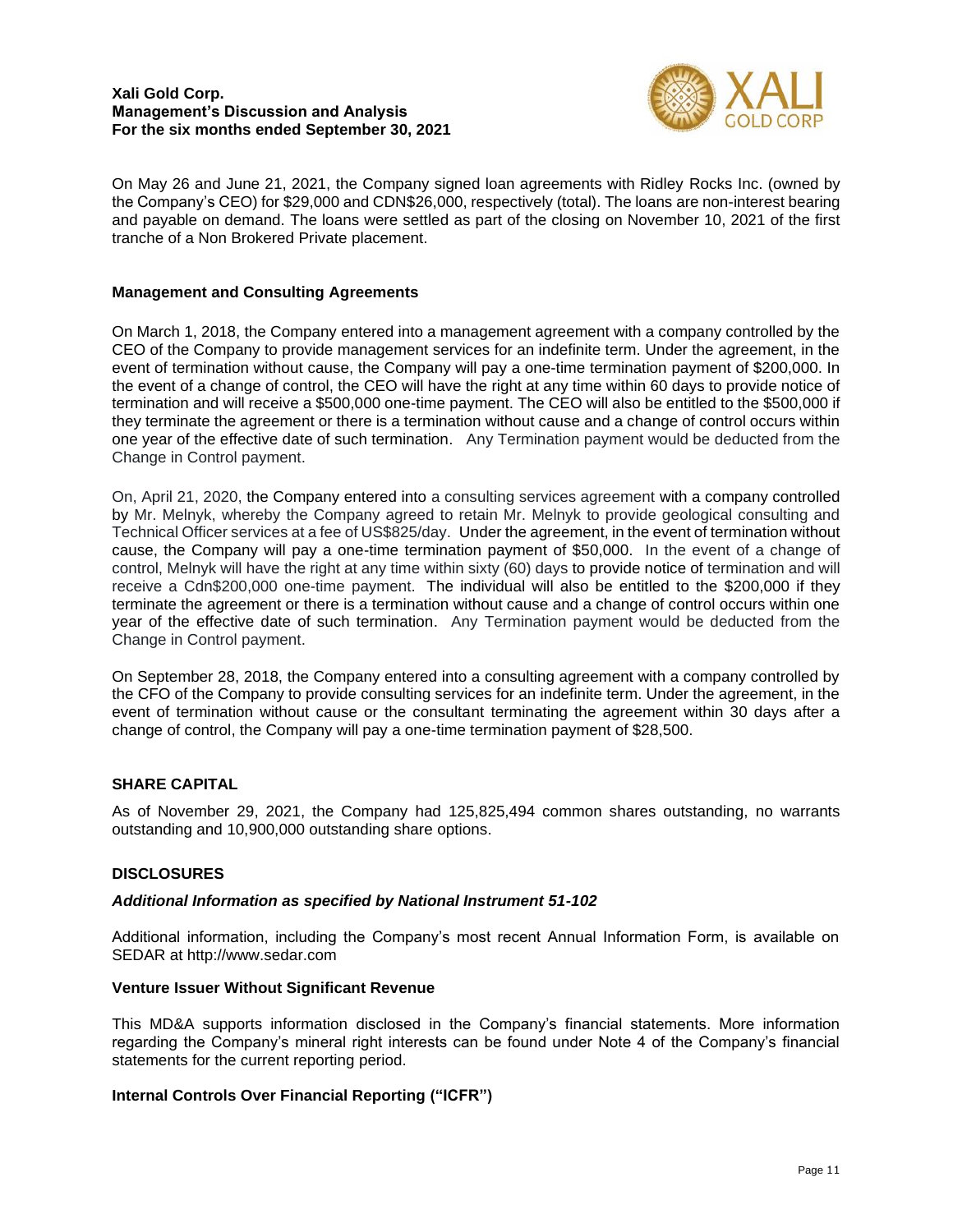

On May 26 and June 21, 2021, the Company signed loan agreements with Ridley Rocks Inc. (owned by the Company's CEO) for \$29,000 and CDN\$26,000, respectively (total). The loans are non-interest bearing and payable on demand. The loans were settled as part of the closing on November 10, 2021 of the first tranche of a Non Brokered Private placement.

## **Management and Consulting Agreements**

On March 1, 2018, the Company entered into a management agreement with a company controlled by the CEO of the Company to provide management services for an indefinite term. Under the agreement, in the event of termination without cause, the Company will pay a one-time termination payment of \$200,000. In the event of a change of control, the CEO will have the right at any time within 60 days to provide notice of termination and will receive a \$500,000 one-time payment. The CEO will also be entitled to the \$500,000 if they terminate the agreement or there is a termination without cause and a change of control occurs within one year of the effective date of such termination. Any Termination payment would be deducted from the Change in Control payment.

On, April 21, 2020, the Company entered into a consulting services agreement with a company controlled by Mr. Melnyk, whereby the Company agreed to retain Mr. Melnyk to provide geological consulting and Technical Officer services at a fee of US\$825/day. Under the agreement, in the event of termination without cause, the Company will pay a one-time termination payment of \$50,000. In the event of a change of control, Melnyk will have the right at any time within sixty (60) days to provide notice of termination and will receive a Cdn\$200,000 one-time payment. The individual will also be entitled to the \$200,000 if they terminate the agreement or there is a termination without cause and a change of control occurs within one year of the effective date of such termination. Any Termination payment would be deducted from the Change in Control payment.

On September 28, 2018, the Company entered into a consulting agreement with a company controlled by the CFO of the Company to provide consulting services for an indefinite term. Under the agreement, in the event of termination without cause or the consultant terminating the agreement within 30 days after a change of control, the Company will pay a one-time termination payment of \$28,500.

# **SHARE CAPITAL**

As of November 29, 2021, the Company had 125,825,494 common shares outstanding, no warrants outstanding and 10,900,000 outstanding share options.

## **DISCLOSURES**

## *Additional Information as specified by National Instrument 51-102*

Additional information, including the Company's most recent Annual Information Form, is available on SEDAR at http://www.sedar.com

## **Venture Issuer Without Significant Revenue**

This MD&A supports information disclosed in the Company's financial statements. More information regarding the Company's mineral right interests can be found under Note 4 of the Company's financial statements for the current reporting period.

## **Internal Controls Over Financial Reporting ("ICFR")**